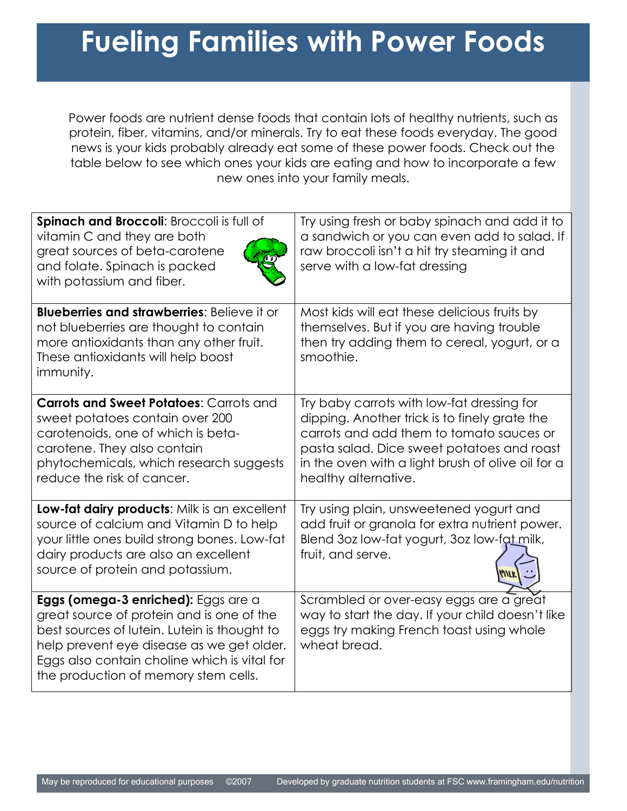## **Fueling Families with Power Foods**

Power foods are nutrient dense foods that contain lots of healthy nutrients, such as protein, fiber, vitamins, and/or minerals. Try to eat these foods everyday. The good news is your kids probably already eat some of these power foods. Check out the table below to see which ones your kids are eating and how to incorporate a few new ones into your family meals.

| Spinach and Broccoli: Broccoli is full of<br>vitamin C and they are both<br>great sources of beta-carotene<br>and folate. Spinach is packed<br>with potassium and fiber.                                                                                              | Try using fresh or baby spinach and add it to<br>a sandwich or you can even add to salad. If<br>raw broccoli isn't a hit try steaming it and<br>serve with a low-fat dressing                                                                                      |
|-----------------------------------------------------------------------------------------------------------------------------------------------------------------------------------------------------------------------------------------------------------------------|--------------------------------------------------------------------------------------------------------------------------------------------------------------------------------------------------------------------------------------------------------------------|
| <b>Blueberries and strawberries: Believe it or</b><br>not blueberries are thought to contain<br>more antioxidants than any other fruit.<br>These antioxidants will help boost<br>immunity.                                                                            | Most kids will eat these delicious fruits by<br>themselves. But if you are having trouble<br>then try adding them to cereal, yogurt, or a<br>smoothie.                                                                                                             |
| <b>Carrots and Sweet Potatoes: Carrots and</b><br>sweet potatoes contain over 200<br>carotenoids, one of which is beta-<br>carotene. They also contain<br>phytochemicals, which research suggests<br>reduce the risk of cancer.                                       | Try baby carrots with low-fat dressing for<br>dipping. Another trick is to finely grate the<br>carrots and add them to tomato sauces or<br>pasta salad. Dice sweet potatoes and roast<br>in the oven with a light brush of olive oil for a<br>healthy alternative. |
| Low-fat dairy products: Milk is an excellent<br>source of calcium and Vitamin D to help<br>your little ones build strong bones. Low-fat<br>dairy products are also an excellent<br>source of protein and potassium.                                                   | Try using plain, unsweetened yogurt and<br>add fruit or granola for extra nutrient power.<br>Blend 3oz low-fat yogurt, 3oz low-fat milk,<br>fruit, and serve.                                                                                                      |
| Eggs (omega-3 enriched): Eggs are a<br>great source of protein and is one of the<br>best sources of lutein. Lutein is thought to<br>help prevent eye disease as we get older.<br>Eggs also contain choline which is vital for<br>the production of memory stem cells. | Scrambled or over-easy eggs are a great<br>way to start the day. If your child doesn't like<br>eggs try making French toast using whole<br>wheat bread.                                                                                                            |